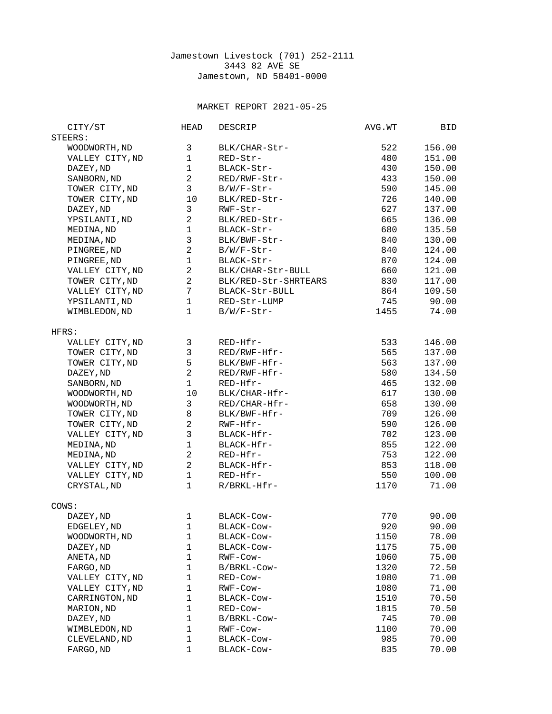## Jamestown Livestock (701) 252-2111 3443 82 AVE SE Jamestown, ND 58401-0000

## MARKET REPORT 2021-05-25

| CITY/ST                  | <b>HEAD</b>    | <b>DESCRIP</b>       | AVG.WT | BID    |
|--------------------------|----------------|----------------------|--------|--------|
| STEERS:                  |                |                      |        |        |
| WOODWORTH, ND            | 3              | BLK/CHAR-Str-        | 522    | 156.00 |
| VALLEY CITY, ND          | $\mathbf{1}$   | RED-Str-             | 480    | 151.00 |
| DAZEY, ND                | $\mathbf{1}$   | BLACK-Str-           | 430    | 150.00 |
| SANBORN, ND              | $\overline{2}$ | RED/RWF-Str-         | 433    | 150.00 |
| TOWER CITY, ND           | 3              | B/W/F-Str-           | 590    | 145.00 |
| TOWER CITY, ND           | 10             | BLK/RED-Str-         | 726    | 140.00 |
|                          | 3              |                      | 627    | 137.00 |
| DAZEY, ND                |                | RWF-Str-             |        |        |
| YPSILANTI, ND            | $\overline{c}$ | BLK/RED-Str-         | 665    | 136.00 |
| MEDINA, ND               | $\mathbf{1}$   | BLACK-Str-           | 680    | 135.50 |
| MEDINA, ND               | 3              | BLK/BWF-Str-         | 840    | 130.00 |
| PINGREE, ND              | $\overline{2}$ | B/W/F-Str-           | 840    | 124.00 |
| PINGREE, ND              | $\mathbf{1}$   | BLACK-Str-           | 870    | 124.00 |
| VALLEY CITY, ND          | $\overline{2}$ | BLK/CHAR-Str-BULL    | 660    | 121.00 |
| TOWER CITY, ND           | $\overline{2}$ | BLK/RED-Str-SHRTEARS | 830    | 117.00 |
| VALLEY CITY, ND          | $\overline{7}$ | BLACK-Str-BULL       | 864    | 109.50 |
| YPSILANTI, ND            | $\mathbf{1}$   | RED-Str-LUMP         | 745    | 90.00  |
| WIMBLEDON, ND            | $\mathbf{1}$   | $B/W/F-Str-$         | 1455   | 74.00  |
|                          |                |                      |        |        |
| HFRS:<br>VALLEY CITY, ND | 3              | RED-Hfr-             | 533    | 146.00 |
|                          | 3              | RED/RWF-Hfr-         | 565    | 137.00 |
| TOWER CITY, ND           | 5              |                      |        |        |
| TOWER CITY, ND           |                | BLK/BWF-Hfr-         | 563    | 137.00 |
| DAZEY, ND                | $\overline{2}$ | RED/RWF-Hfr-         | 580    | 134.50 |
| SANBORN, ND              | $\mathbf{1}$   | RED-Hfr-             | 465    | 132.00 |
| WOODWORTH, ND            | 10             | BLK/CHAR-Hfr-        | 617    | 130.00 |
| WOODWORTH, ND            | 3              | RED/CHAR-Hfr-        | 658    | 130.00 |
| TOWER CITY, ND           | 8              | BLK/BWF-Hfr-         | 709    | 126.00 |
| TOWER CITY, ND           | $\overline{2}$ | RWF-Hfr-             | 590    | 126.00 |
| VALLEY CITY, ND          | 3              | BLACK-Hfr-           | 702    | 123.00 |
| MEDINA, ND               | $\mathbf{1}$   | BLACK-Hfr-           | 855    | 122.00 |
| MEDINA, ND               | $\overline{2}$ | RED-Hfr-             | 753    | 122.00 |
| VALLEY CITY, ND          | $\overline{2}$ | BLACK-Hfr-           | 853    | 118.00 |
| VALLEY CITY, ND          | $\mathbf{1}$   | RED-Hfr-             | 550    | 100.00 |
| CRYSTAL, ND              | $\mathbf{1}$   | R/BRKL-Hfr-          | 1170   | 71.00  |
|                          |                |                      |        |        |
| COWS:                    |                |                      |        |        |
| DAZEY, ND                | $\mathbf 1$    | BLACK-Cow-           | 770    | 90.00  |
| EDGELEY, ND              | $\mathbf{1}$   | BLACK-COW-           | 920    | 90.00  |
| WOODWORTH, ND            | 1              | BLACK-Cow-           | 1150   | 78.00  |
| DAZEY, ND                | $\mathbf{1}$   | BLACK-Cow-           | 1175   | 75.00  |
| ANETA, ND                | $\mathbf{1}$   | RWF-Cow-             | 1060   | 75.00  |
| FARGO, ND                | $\mathbf{1}$   | B/BRKL-Cow-          | 1320   | 72.50  |
| VALLEY CITY, ND          | $\mathbf{1}$   | RED-Cow-             | 1080   | 71.00  |
| VALLEY CITY, ND          | $\mathbf{1}$   | RWF-COW-             | 1080   | 71.00  |
| CARRINGTON, ND           | $\mathbf{1}$   | BLACK-COW-           | 1510   | 70.50  |
| MARION, ND               | 1              | RED-Cow-             | 1815   | 70.50  |
| DAZEY, ND                | 1              | B/BRKL-Cow-          | 745    | 70.00  |
| WIMBLEDON, ND            | $\mathbf{1}$   | RWF-Cow-             | 1100   | 70.00  |
| CLEVELAND, ND            | 1              | BLACK-Cow-           | 985    | 70.00  |
| FARGO, ND                | $\mathbf 1$    | BLACK-Cow-           | 835    | 70.00  |
|                          |                |                      |        |        |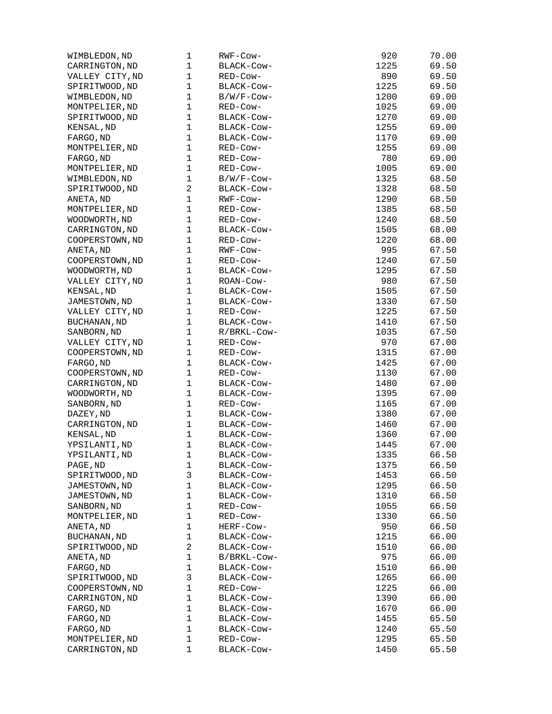| WIMBLEDON, ND       | 1            | RWF-Cow-                | 920  | 70.00 |
|---------------------|--------------|-------------------------|------|-------|
| CARRINGTON, ND      | 1            | BLACK-COW-              | 1225 | 69.50 |
| VALLEY CITY, ND     | 1            | RED-Cow-                | 890  | 69.50 |
| SPIRITWOOD, ND      | 1            | BLACK-COW-              | 1225 | 69.50 |
| WIMBLEDON, ND       | 1            | B/W/F-Cow-              | 1200 | 69.00 |
| MONTPELIER, ND      | 1            | RED-Cow-                | 1025 | 69.00 |
| SPIRITWOOD, ND      | 1            | BLACK-COW-              | 1270 | 69.00 |
| KENSAL, ND          | $\mathbf 1$  | BLACK-COW-              | 1255 | 69.00 |
| FARGO, ND           | 1            | BLACK-COW-              | 1170 | 69.00 |
| MONTPELIER, ND      | 1            | RED-Cow-                | 1255 | 69.00 |
| FARGO, ND           | 1            | RED-Cow-                | 780  | 69.00 |
| MONTPELIER, ND      | 1            | RED-Cow-                | 1005 | 69.00 |
| WIMBLEDON, ND       | 1            | $B/W/F$ -Cow-           | 1325 | 68.50 |
| SPIRITWOOD, ND      | 2            | BLACK-COW-              | 1328 | 68.50 |
| ANETA, ND           | 1            | RWF-Cow-                | 1290 | 68.50 |
| MONTPELIER, ND      | 1            | RED-Cow-                | 1385 | 68.50 |
| WOODWORTH, ND       | 1            | RED-Cow-                | 1240 | 68.50 |
| CARRINGTON, ND      | 1            | BLACK-COW-              | 1505 | 68.00 |
| COOPERSTOWN, ND     | 1            | RED-Cow-                | 1220 | 68.00 |
| ANETA, ND           | 1            | RWF-COW-                | 995  | 67.50 |
| COOPERSTOWN, ND     | 1            | RED-Cow-                | 1240 | 67.50 |
| WOODWORTH, ND       | 1            | BLACK-COW-              | 1295 | 67.50 |
| VALLEY CITY, ND     | 1            | ROAN-COW-               | 980  | 67.50 |
| KENSAL, ND          | 1            | BLACK-COW-              | 1505 | 67.50 |
| JAMESTOWN, ND       | 1            | BLACK-COW-              | 1330 | 67.50 |
| VALLEY CITY, ND     | 1            | RED-Cow-                | 1225 | 67.50 |
| <b>BUCHANAN, ND</b> | $\mathbf 1$  | BLACK-Cow-              | 1410 | 67.50 |
|                     | 1            |                         | 1035 |       |
| SANBORN, ND         | 1            | R/BRKL-Cow-<br>RED-Cow- | 970  | 67.50 |
| VALLEY CITY, ND     | 1            |                         |      | 67.00 |
| COOPERSTOWN, ND     |              | RED-Cow-                | 1315 | 67.00 |
| FARGO, ND           | 1            | BLACK-COW-              | 1425 | 67.00 |
| COOPERSTOWN, ND     | 1            | RED-Cow-                | 1130 | 67.00 |
| CARRINGTON, ND      | 1<br>1       | BLACK-COW-              | 1480 | 67.00 |
| WOODWORTH, ND       |              | BLACK-COW-              | 1395 | 67.00 |
| SANBORN, ND         | 1            | RED-Cow-                | 1165 | 67.00 |
| DAZEY, ND           | 1            | BLACK-COW-              | 1380 | 67.00 |
| CARRINGTON, ND      | 1            | BLACK-COW-              | 1460 | 67.00 |
| KENSAL, ND          | 1            | BLACK-COW-              | 1360 | 67.00 |
| YPSILANTI, ND       | $\mathbf{1}$ | BLACK-COW-              | 1445 | 67.00 |
| YPSILANTI, ND       | 1            | BLACK-COW-              | 1335 | 66.50 |
| PAGE, ND            | 1            | BLACK-Cow-              | 1375 | 66.50 |
| SPIRITWOOD, ND      | 3            | BLACK-Cow-              | 1453 | 66.50 |
| JAMESTOWN, ND       | 1            | BLACK-Cow-              | 1295 | 66.50 |
| JAMESTOWN, ND       | 1            | BLACK-Cow-              | 1310 | 66.50 |
| SANBORN, ND         | 1            | RED-Cow-                | 1055 | 66.50 |
| MONTPELIER, ND      | 1            | RED-Cow-                | 1330 | 66.50 |
| ANETA, ND           | 1            | HERF-Cow-               | 950  | 66.50 |
| <b>BUCHANAN, ND</b> | 1            | BLACK-COW-              | 1215 | 66.00 |
| SPIRITWOOD, ND      | 2            | BLACK-Cow-              | 1510 | 66.00 |
| ANETA, ND           | 1            | B/BRKL-Cow-             | 975  | 66.00 |
| FARGO, ND           | 1            | BLACK-Cow-              | 1510 | 66.00 |
| SPIRITWOOD, ND      | 3            | BLACK-COW-              | 1265 | 66.00 |
| COOPERSTOWN, ND     | 1            | RED-Cow-                | 1225 | 66.00 |
| CARRINGTON, ND      | 1            | BLACK-Cow-              | 1390 | 66.00 |
| FARGO, ND           | 1            | BLACK-COW-              | 1670 | 66.00 |
| FARGO, ND           | 1            | BLACK-COW-              | 1455 | 65.50 |
| FARGO, ND           | 1            | BLACK-COW-              | 1240 | 65.50 |
| MONTPELIER, ND      | 1            | RED-Cow-                | 1295 | 65.50 |
| CARRINGTON, ND      | 1            | BLACK-Cow-              | 1450 | 65.50 |
|                     |              |                         |      |       |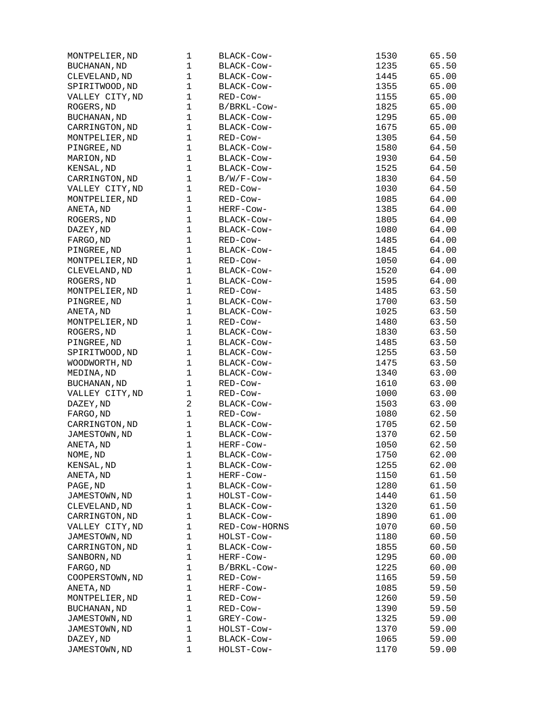| MONTPELIER, ND      | 1              | BLACK-COW-    | 1530 | 65.50 |
|---------------------|----------------|---------------|------|-------|
| <b>BUCHANAN, ND</b> | 1              | BLACK-COW-    | 1235 | 65.50 |
| CLEVELAND, ND       | 1              | BLACK-COW-    | 1445 | 65.00 |
| SPIRITWOOD, ND      | 1              | BLACK-COW-    | 1355 | 65.00 |
| VALLEY CITY, ND     | 1              | RED-Cow-      | 1155 | 65.00 |
| ROGERS, ND          | 1              | B/BRKL-Cow-   | 1825 | 65.00 |
| <b>BUCHANAN, ND</b> | 1              | BLACK-COW-    | 1295 | 65.00 |
| CARRINGTON, ND      | 1              | BLACK-COW-    | 1675 | 65.00 |
| MONTPELIER, ND      | 1              | RED-Cow-      | 1305 | 64.50 |
| PINGREE, ND         | 1              | BLACK-COW-    | 1580 | 64.50 |
| MARION, ND          | 1              | BLACK-COW-    | 1930 | 64.50 |
| KENSAL, ND          | 1              | BLACK-COW-    | 1525 | 64.50 |
| CARRINGTON, ND      | 1              | B/W/F-Cow-    | 1830 | 64.50 |
| VALLEY CITY, ND     | 1              | RED-Cow-      | 1030 | 64.50 |
| MONTPELIER, ND      | 1              | RED-Cow-      | 1085 | 64.00 |
| ANETA, ND           | 1              | HERF-Cow-     | 1385 | 64.00 |
| ROGERS, ND          | $\mathbf 1$    | BLACK-COW-    | 1805 | 64.00 |
| DAZEY, ND           | 1              | BLACK-COW-    | 1080 | 64.00 |
| FARGO, ND           | 1              | RED-Cow-      | 1485 | 64.00 |
| PINGREE, ND         | 1              | BLACK-COW-    | 1845 | 64.00 |
| MONTPELIER, ND      | 1              | RED-Cow-      | 1050 | 64.00 |
| CLEVELAND, ND       | $\mathbf{1}$   | BLACK-Cow-    | 1520 | 64.00 |
| ROGERS, ND          | 1              | BLACK-COW-    | 1595 | 64.00 |
| MONTPELIER, ND      | 1              | RED-Cow-      | 1485 | 63.50 |
| PINGREE, ND         | 1              | BLACK-COW-    | 1700 | 63.50 |
| ANETA, ND           | 1              | BLACK-COW-    | 1025 | 63.50 |
| MONTPELIER, ND      | $\mathbf 1$    | RED-Cow-      | 1480 | 63.50 |
|                     | 1              |               |      |       |
| ROGERS, ND          | 1              | BLACK-COW-    | 1830 | 63.50 |
| PINGREE, ND         |                | BLACK-COW-    | 1485 | 63.50 |
| SPIRITWOOD, ND      | 1              | BLACK-COW-    | 1255 | 63.50 |
| WOODWORTH, ND       | 1              | BLACK-COW-    | 1475 | 63.50 |
| MEDINA, ND          | 1              | BLACK-COW-    | 1340 | 63.00 |
| <b>BUCHANAN, ND</b> | 1              | RED-Cow-      | 1610 | 63.00 |
| VALLEY CITY, ND     | 1              | RED-Cow-      | 1000 | 63.00 |
| DAZEY, ND           | $\overline{c}$ | BLACK-Cow-    | 1503 | 63.00 |
| FARGO, ND           | $\mathbf 1$    | RED-Cow-      | 1080 | 62.50 |
| CARRINGTON, ND      | 1              | BLACK-COW-    | 1705 | 62.50 |
| JAMESTOWN, ND       | 1              | BLACK-COW-    | 1370 | 62.50 |
| ANETA, ND           | $\mathbf{1}$   | HERF-Cow-     | 1050 | 62.50 |
| NOME, ND            | 1              | BLACK-COW-    | 1750 | 62.00 |
| KENSAL, ND          | 1              | BLACK-Cow-    | 1255 | 62.00 |
| ANETA, ND           | 1              | HERF-Cow-     | 1150 | 61.50 |
| PAGE, ND            | 1              | BLACK-COW-    | 1280 | 61.50 |
| JAMESTOWN, ND       | 1              | HOLST-Cow-    | 1440 | 61.50 |
| CLEVELAND, ND       | 1              | BLACK-Cow-    | 1320 | 61.50 |
| CARRINGTON, ND      | 1              | BLACK-COW-    | 1890 | 61.00 |
| VALLEY CITY, ND     | 1              | RED-COW-HORNS | 1070 | 60.50 |
| JAMESTOWN, ND       | 1              | HOLST-COW-    | 1180 | 60.50 |
| CARRINGTON, ND      | 1              | BLACK-COW-    | 1855 | 60.50 |
| SANBORN, ND         | 1              | HERF-COW-     | 1295 | 60.00 |
| FARGO, ND           | 1              | B/BRKL-Cow-   | 1225 | 60.00 |
| COOPERSTOWN, ND     | 1              | RED-COW-      | 1165 | 59.50 |
| ANETA, ND           | 1              | HERF-Cow-     | 1085 | 59.50 |
| MONTPELIER, ND      | 1              | RED-COW-      | 1260 | 59.50 |
| BUCHANAN, ND        | 1              | RED-COW-      | 1390 | 59.50 |
| JAMESTOWN, ND       | 1              | GREY-Cow-     | 1325 | 59.00 |
| JAMESTOWN, ND       | 1              | HOLST-COW-    | 1370 | 59.00 |
| DAZEY, ND           | 1              | BLACK-COW-    | 1065 | 59.00 |
| JAMESTOWN, ND       | 1              | HOLST-Cow-    | 1170 | 59.00 |
|                     |                |               |      |       |